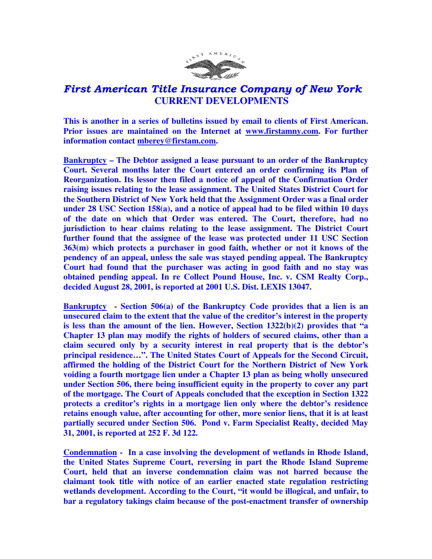

## First American Title Insurance Company of New York  **CURRENT DEVELOPMENTS**

**This is another in a series of bulletins issued by email to clients of First American. Prior issues are maintained on the Internet at www.firstamny.com. For further information contact mberey@firstam.com.** 

**Bankruptcy – The Debtor assigned a lease pursuant to an order of the Bankruptcy Court. Several months later the Court entered an order confirming its Plan of Reorganization. Its lessor then filed a notice of appeal of the Confirmation Order raising issues relating to the lease assignment. The United States District Court for the Southern District of New York held that the Assignment Order was a final order under 28 USC Section 158(a), and a notice of appeal had to be filed within 10 days of the date on which that Order was entered. The Court, therefore, had no jurisdiction to hear claims relating to the lease assignment. The District Court further found that the assignee of the lease was protected under 11 USC Section 363(m) which protects a purchaser in good faith, whether or not it knows of the pendency of an appeal, unless the sale was stayed pending appeal. The Bankruptcy Court had found that the purchaser was acting in good faith and no stay was obtained pending appeal. In re Collect Pound House, Inc. v. CSM Realty Corp., decided August 28, 2001, is reported at 2001 U.S. Dist. LEXIS 13047.** 

**Bankruptcy - Section 506(a) of the Bankruptcy Code provides that a lien is an unsecured claim to the extent that the value of the creditor's interest in the property is less than the amount of the lien. However, Section 1322(b)(2) provides that "a Chapter 13 plan may modify the rights of holders of secured claims, other than a claim secured only by a security interest in real property that is the debtor's principal residence…". The United States Court of Appeals for the Second Circuit, affirmed the holding of the District Court for the Northern District of New York voiding a fourth mortgage lien under a Chapter 13 plan as being wholly unsecured under Section 506, there being insufficient equity in the property to cover any part of the mortgage. The Court of Appeals concluded that the exception in Section 1322 protects a creditor's rights in a mortgage lien only where the debtor's residence retains enough value, after accounting for other, more senior liens, that it is at least partially secured under Section 506. Pond v. Farm Specialist Realty, decided May 31, 2001, is reported at 252 F. 3d 122.** 

**Condemnation - In a case involving the development of wetlands in Rhode Island, the United States Supreme Court, reversing in part the Rhode Island Supreme Court, held that an inverse condemnation claim was not barred because the claimant took title with notice of an earlier enacted state regulation restricting wetlands development. According to the Court, "it would be illogical, and unfair, to bar a regulatory takings claim because of the post-enactment transfer of ownership**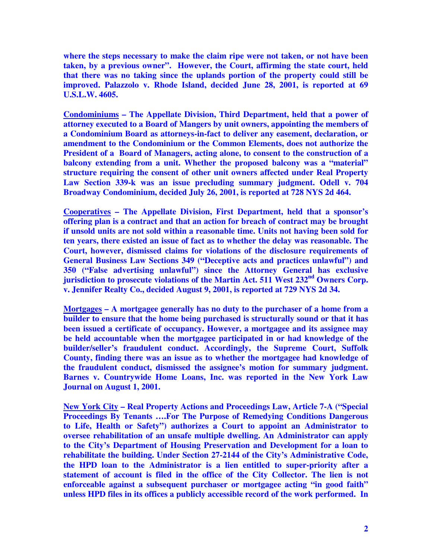**where the steps necessary to make the claim ripe were not taken, or not have been taken, by a previous owner". However, the Court, affirming the state court, held that there was no taking since the uplands portion of the property could still be improved. Palazzolo v. Rhode Island, decided June 28, 2001, is reported at 69 U.S.L.W. 4605.** 

**Condominiums – The Appellate Division, Third Department, held that a power of attorney executed to a Board of Mangers by unit owners, appointing the members of a Condominium Board as attorneys-in-fact to deliver any easement, declaration, or amendment to the Condominium or the Common Elements, does not authorize the President of a Board of Managers, acting alone, to consent to the construction of a balcony extending from a unit. Whether the proposed balcony was a "material" structure requiring the consent of other unit owners affected under Real Property Law Section 339-k was an issue precluding summary judgment. Odell v. 704 Broadway Condominium, decided July 26, 2001, is reported at 728 NYS 2d 464.** 

**Cooperatives – The Appellate Division, First Department, held that a sponsor's offering plan is a contract and that an action for breach of contract may be brought if unsold units are not sold within a reasonable time. Units not having been sold for ten years, there existed an issue of fact as to whether the delay was reasonable. The Court, however, dismissed claims for violations of the disclosure requirements of General Business Law Sections 349 ("Deceptive acts and practices unlawful") and 350 ("False advertising unlawful") since the Attorney General has exclusive jurisdiction to prosecute violations of the Martin Act. 511 West 232nd Owners Corp. v. Jennifer Realty Co., decided August 9, 2001, is reported at 729 NYS 2d 34.** 

**Mortgages – A mortgagee generally has no duty to the purchaser of a home from a builder to ensure that the home being purchased is structurally sound or that it has been issued a certificate of occupancy. However, a mortgagee and its assignee may be held accountable when the mortgagee participated in or had knowledge of the builder/seller's fraudulent conduct. Accordingly, the Supreme Court, Suffolk County, finding there was an issue as to whether the mortgagee had knowledge of the fraudulent conduct, dismissed the assignee's motion for summary judgment. Barnes v. Countrywide Home Loans, Inc. was reported in the New York Law Journal on August 1, 2001.** 

**New York City – Real Property Actions and Proceedings Law, Article 7-A ("Special Proceedings By Tenants ….For The Purpose of Remedying Conditions Dangerous to Life, Health or Safety") authorizes a Court to appoint an Administrator to oversee rehabilitation of an unsafe multiple dwelling. An Administrator can apply to the City's Department of Housing Preservation and Development for a loan to rehabilitate the building. Under Section 27-2144 of the City's Administrative Code, the HPD loan to the Administrator is a lien entitled to super-priority after a statement of account is filed in the office of the City Collector. The lien is not enforceable against a subsequent purchaser or mortgagee acting "in good faith" unless HPD files in its offices a publicly accessible record of the work performed. In**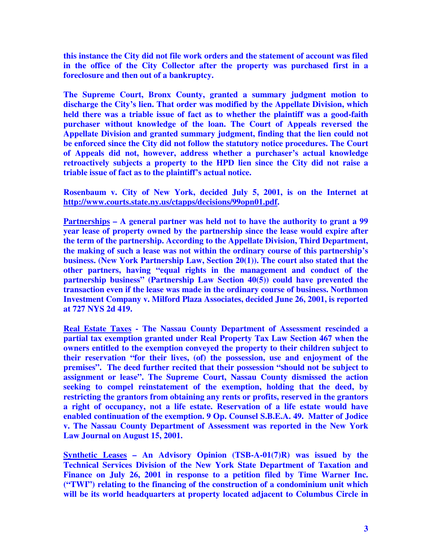**this instance the City did not file work orders and the statement of account was filed in the office of the City Collector after the property was purchased first in a foreclosure and then out of a bankruptcy.** 

**The Supreme Court, Bronx County, granted a summary judgment motion to discharge the City's lien. That order was modified by the Appellate Division, which held there was a triable issue of fact as to whether the plaintiff was a good-faith purchaser without knowledge of the loan. The Court of Appeals reversed the Appellate Division and granted summary judgment, finding that the lien could not be enforced since the City did not follow the statutory notice procedures. The Court of Appeals did not, however, address whether a purchaser's actual knowledge retroactively subjects a property to the HPD lien since the City did not raise a triable issue of fact as to the plaintiff's actual notice.** 

**Rosenbaum v. City of New York, decided July 5, 2001, is on the Internet at http://www.courts.state.ny.us/ctapps/decisions/99opn01.pdf.** 

**Partnerships – A general partner was held not to have the authority to grant a 99 year lease of property owned by the partnership since the lease would expire after the term of the partnership. According to the Appellate Division, Third Department, the making of such a lease was not within the ordinary course of this partnership's business. (New York Partnership Law, Section 20(1)). The court also stated that the other partners, having "equal rights in the management and conduct of the partnership business" (Partnership Law Section 40(5)) could have prevented the transaction even if the lease was made in the ordinary course of business. Northmon Investment Company v. Milford Plaza Associates, decided June 26, 2001, is reported at 727 NYS 2d 419.** 

**Real Estate Taxes - The Nassau County Department of Assessment rescinded a partial tax exemption granted under Real Property Tax Law Section 467 when the owners entitled to the exemption conveyed the property to their children subject to their reservation "for their lives, (of) the possession, use and enjoyment of the premises". The deed further recited that their possession "should not be subject to assignment or lease". The Supreme Court, Nassau County dismissed the action seeking to compel reinstatement of the exemption, holding that the deed, by restricting the grantors from obtaining any rents or profits, reserved in the grantors a right of occupancy, not a life estate. Reservation of a life estate would have enabled continuation of the exemption. 9 Op. Counsel S.B.E.A. 49. Matter of Jodice v. The Nassau County Department of Assessment was reported in the New York Law Journal on August 15, 2001.** 

**Synthetic Leases – An Advisory Opinion (TSB-A-01(7)R) was issued by the Technical Services Division of the New York State Department of Taxation and Finance on July 26, 2001 in response to a petition filed by Time Warner Inc. ("TWI") relating to the financing of the construction of a condominium unit which will be its world headquarters at property located adjacent to Columbus Circle in**